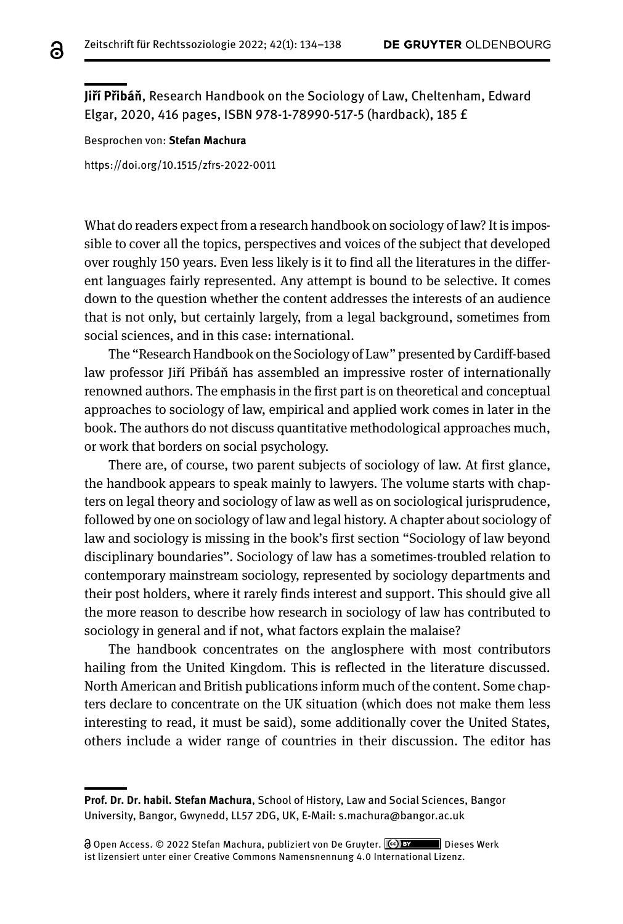**Jiří Přibáň**, Research Handbook on the Sociology of Law, Cheltenham, Edward Elgar, 2020, 416 pages, ISBN 978-1-78990-517-5 (hardback), 185 £

Besprochen von: **Stefan Machura**

[https://doi.org/10.1515/zfrs-2022-0011](https://doi.org/10.1515/zfrs-2022-2011)

What do readers expect from a research handbook on sociology of law? It is impossible to cover all the topics, perspectives and voices of the subject that developed over roughly 150 years. Even less likely is it to find all the literatures in the different languages fairly represented. Any attempt is bound to be selective. It comes down to the question whether the content addresses the interests of an audience that is not only, but certainly largely, from a legal background, sometimes from social sciences, and in this case: international.

The "Research Handbook on the Sociology of Law" presented by Cardiff-based law professor Jiří Přibáň has assembled an impressive roster of internationally renowned authors. The emphasis in the first part is on theoretical and conceptual approaches to sociology of law, empirical and applied work comes in later in the book. The authors do not discuss quantitative methodological approaches much, or work that borders on social psychology.

There are, of course, two parent subjects of sociology of law. At first glance, the handbook appears to speak mainly to lawyers. The volume starts with chapters on legal theory and sociology of law as well as on sociological jurisprudence, followed by one on sociology of law and legal history. A chapter about sociology of law and sociology is missing in the book's first section "Sociology of law beyond disciplinary boundaries". Sociology of law has a sometimes-troubled relation to contemporary mainstream sociology, represented by sociology departments and their post holders, where it rarely finds interest and support. This should give all the more reason to describe how research in sociology of law has contributed to sociology in general and if not, what factors explain the malaise?

The handbook concentrates on the anglosphere with most contributors hailing from the United Kingdom. This is reflected in the literature discussed. North American and British publications inform much of the content. Some chapters declare to concentrate on the UK situation (which does not make them less interesting to read, it must be said), some additionally cover the United States, others include a wider range of countries in their discussion. The editor has

**Prof. Dr. Dr. habil. Stefan Machura**, School of History, Law and Social Sciences, Bangor University, Bangor, Gwynedd, LL57 2DG, UK, E-Mail: [s.machura@bangor.ac.uk](mailto:s.machura@bangor.ac.uk)

Open Access. © 2022 Stefan Machura, publiziert von De Gruyter. Dieses Werk ist lizensiert unter einer Creative Commons Namensnennung 4.0 International Lizenz.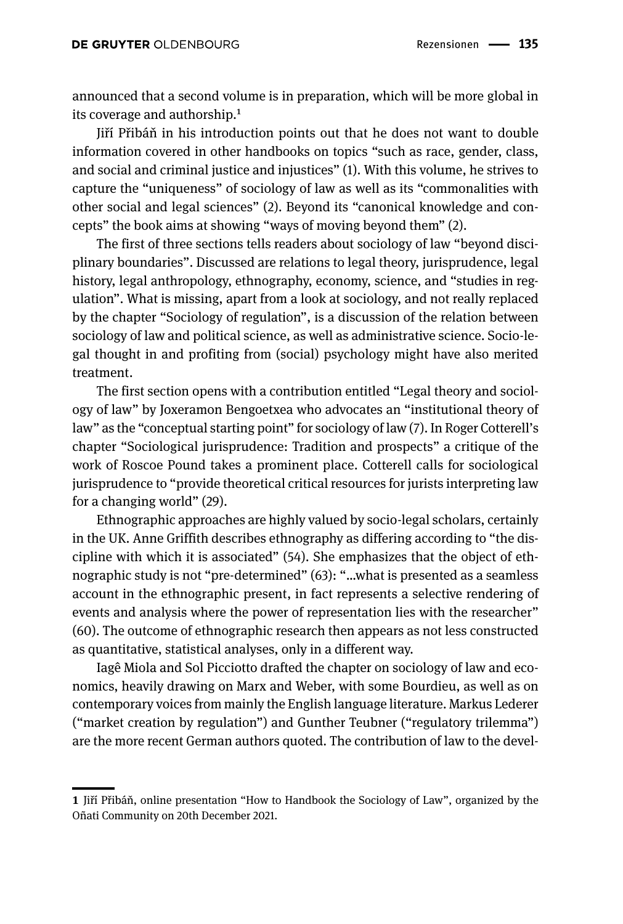announced that a second volume is in preparation, which will be more global in its coverage and authorship.<sup>1</sup>

Jiří Přibáň in his introduction points out that he does not want to double information covered in other handbooks on topics "such as race, gender, class, and social and criminal justice and injustices" (1). With this volume, he strives to capture the "uniqueness" of sociology of law as well as its "commonalities with other social and legal sciences" (2). Beyond its "canonical knowledge and concepts" the book aims at showing "ways of moving beyond them" (2).

The first of three sections tells readers about sociology of law "beyond disciplinary boundaries". Discussed are relations to legal theory, jurisprudence, legal history, legal anthropology, ethnography, economy, science, and "studies in regulation". What is missing, apart from a look at sociology, and not really replaced by the chapter "Sociology of regulation", is a discussion of the relation between sociology of law and political science, as well as administrative science. Socio-legal thought in and profiting from (social) psychology might have also merited treatment.

The first section opens with a contribution entitled "Legal theory and sociology of law" by Joxeramon Bengoetxea who advocates an "institutional theory of law" as the "conceptual starting point" for sociology of law (7). In Roger Cotterell's chapter "Sociological jurisprudence: Tradition and prospects" a critique of the work of Roscoe Pound takes a prominent place. Cotterell calls for sociological jurisprudence to "provide theoretical critical resources for jurists interpreting law for a changing world" (29).

Ethnographic approaches are highly valued by socio-legal scholars, certainly in the UK. Anne Griffith describes ethnography as differing according to "the discipline with which it is associated" (54). She emphasizes that the object of ethnographic study is not "pre-determined" (63): "…what is presented as a seamless account in the ethnographic present, in fact represents a selective rendering of events and analysis where the power of representation lies with the researcher" (60). The outcome of ethnographic research then appears as not less constructed as quantitative, statistical analyses, only in a different way.

Iagê Miola and Sol Picciotto drafted the chapter on sociology of law and economics, heavily drawing on Marx and Weber, with some Bourdieu, as well as on contemporary voices from mainly the English language literature. Markus Lederer ("market creation by regulation") and Gunther Teubner ("regulatory trilemma") are the more recent German authors quoted. The contribution of law to the devel-

**<sup>1</sup>** Jiří Přibáň, online presentation "How to Handbook the Sociology of Law", organized by the Oñati Community on 20th December 2021.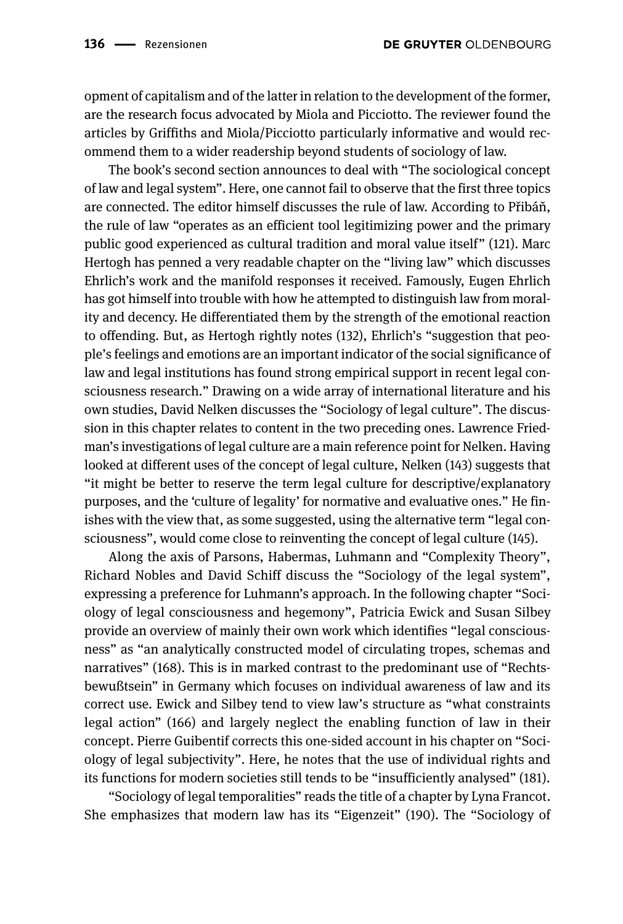opment of capitalism and of the latter in relation to the development of the former, are the research focus advocated by Miola and Picciotto. The reviewer found the articles by Griffiths and Miola/Picciotto particularly informative and would recommend them to a wider readership beyond students of sociology of law.

The book's second section announces to deal with "The sociological concept of law and legal system". Here, one cannot fail to observe that the first three topics are connected. The editor himself discusses the rule of law. According to Přibáň, the rule of law "operates as an efficient tool legitimizing power and the primary public good experienced as cultural tradition and moral value itself" (121). Marc Hertogh has penned a very readable chapter on the "living law" which discusses Ehrlich's work and the manifold responses it received. Famously, Eugen Ehrlich has got himself into trouble with how he attempted to distinguish law from morality and decency. He differentiated them by the strength of the emotional reaction to offending. But, as Hertogh rightly notes (132), Ehrlich's "suggestion that people's feelings and emotions are an important indicator of the social significance of law and legal institutions has found strong empirical support in recent legal consciousness research." Drawing on a wide array of international literature and his own studies, David Nelken discusses the "Sociology of legal culture". The discussion in this chapter relates to content in the two preceding ones. Lawrence Friedman's investigations of legal culture are a main reference point for Nelken. Having looked at different uses of the concept of legal culture, Nelken (143) suggests that "it might be better to reserve the term legal culture for descriptive/explanatory purposes, and the 'culture of legality' for normative and evaluative ones." He finishes with the view that, as some suggested, using the alternative term "legal consciousness", would come close to reinventing the concept of legal culture (145).

Along the axis of Parsons, Habermas, Luhmann and "Complexity Theory", Richard Nobles and David Schiff discuss the "Sociology of the legal system", expressing a preference for Luhmann's approach. In the following chapter "Sociology of legal consciousness and hegemony", Patricia Ewick and Susan Silbey provide an overview of mainly their own work which identifies "legal consciousness" as "an analytically constructed model of circulating tropes, schemas and narratives" (168). This is in marked contrast to the predominant use of "Rechtsbewußtsein" in Germany which focuses on individual awareness of law and its correct use. Ewick and Silbey tend to view law's structure as "what constraints legal action" (166) and largely neglect the enabling function of law in their concept. Pierre Guibentif corrects this one-sided account in his chapter on "Sociology of legal subjectivity". Here, he notes that the use of individual rights and its functions for modern societies still tends to be "insufficiently analysed" (181).

"Sociology of legal temporalities" reads the title of a chapter by Lyna Francot. She emphasizes that modern law has its "Eigenzeit" (190). The "Sociology of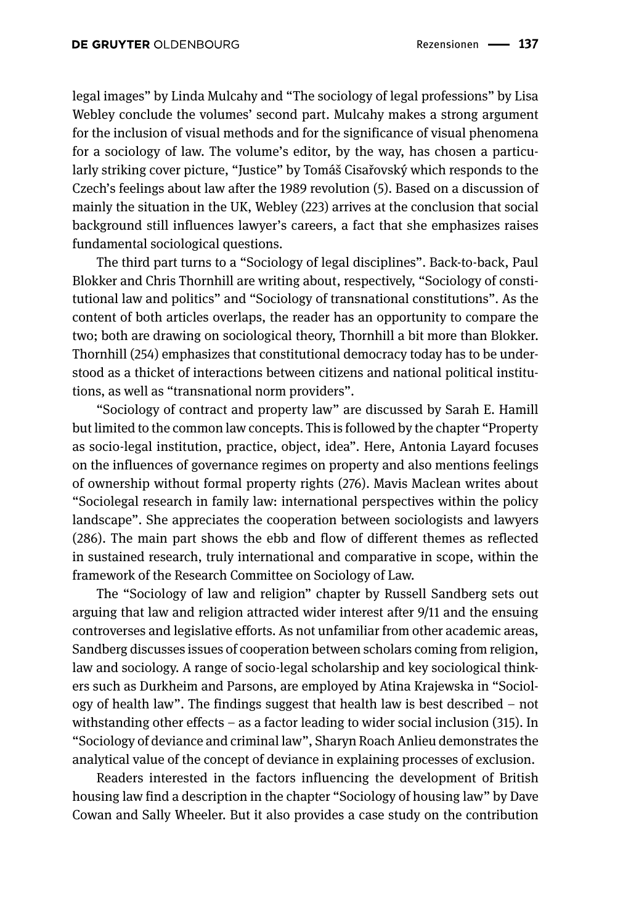legal images" by Linda Mulcahy and "The sociology of legal professions" by Lisa Webley conclude the volumes' second part. Mulcahy makes a strong argument for the inclusion of visual methods and for the significance of visual phenomena for a sociology of law. The volume's editor, by the way, has chosen a particularly striking cover picture, "Justice" by Tomáš Cisařovský which responds to the Czech's feelings about law after the 1989 revolution (5). Based on a discussion of mainly the situation in the UK, Webley (223) arrives at the conclusion that social background still influences lawyer's careers, a fact that she emphasizes raises fundamental sociological questions.

The third part turns to a "Sociology of legal disciplines". Back-to-back, Paul Blokker and Chris Thornhill are writing about, respectively, "Sociology of constitutional law and politics" and "Sociology of transnational constitutions". As the content of both articles overlaps, the reader has an opportunity to compare the two; both are drawing on sociological theory, Thornhill a bit more than Blokker. Thornhill (254) emphasizes that constitutional democracy today has to be understood as a thicket of interactions between citizens and national political institutions, as well as "transnational norm providers".

"Sociology of contract and property law" are discussed by Sarah E. Hamill but limited to the common law concepts. This is followed by the chapter "Property as socio-legal institution, practice, object, idea". Here, Antonia Layard focuses on the influences of governance regimes on property and also mentions feelings of ownership without formal property rights (276). Mavis Maclean writes about "Sociolegal research in family law: international perspectives within the policy landscape". She appreciates the cooperation between sociologists and lawyers (286). The main part shows the ebb and flow of different themes as reflected in sustained research, truly international and comparative in scope, within the framework of the Research Committee on Sociology of Law.

The "Sociology of law and religion" chapter by Russell Sandberg sets out arguing that law and religion attracted wider interest after 9/11 and the ensuing controverses and legislative efforts. As not unfamiliar from other academic areas, Sandberg discusses issues of cooperation between scholars coming from religion, law and sociology. A range of socio-legal scholarship and key sociological thinkers such as Durkheim and Parsons, are employed by Atina Krajewska in "Sociology of health law". The findings suggest that health law is best described – not withstanding other effects – as a factor leading to wider social inclusion (315). In "Sociology of deviance and criminal law", Sharyn Roach Anlieu demonstrates the analytical value of the concept of deviance in explaining processes of exclusion.

Readers interested in the factors influencing the development of British housing law find a description in the chapter "Sociology of housing law" by Dave Cowan and Sally Wheeler. But it also provides a case study on the contribution